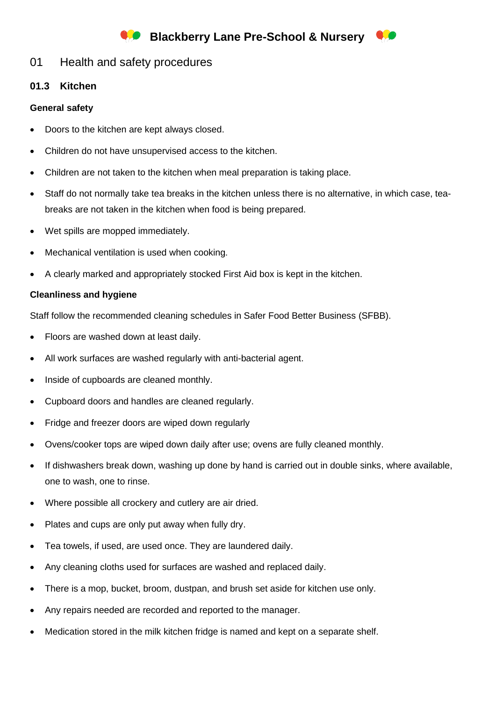# **Blackberry Lane Pre-School & Nursery**



01 Health and safety procedures

## **01.3 Kitchen**

### **General safety**

- Doors to the kitchen are kept always closed.
- Children do not have unsupervised access to the kitchen.
- Children are not taken to the kitchen when meal preparation is taking place.
- Staff do not normally take tea breaks in the kitchen unless there is no alternative, in which case, teabreaks are not taken in the kitchen when food is being prepared.
- Wet spills are mopped immediately.
- Mechanical ventilation is used when cooking.
- A clearly marked and appropriately stocked First Aid box is kept in the kitchen.

### **Cleanliness and hygiene**

Staff follow the recommended cleaning schedules in Safer Food Better Business (SFBB).

- Floors are washed down at least daily.
- All work surfaces are washed regularly with anti-bacterial agent.
- Inside of cupboards are cleaned monthly.
- Cupboard doors and handles are cleaned regularly.
- Fridge and freezer doors are wiped down regularly
- Ovens/cooker tops are wiped down daily after use; ovens are fully cleaned monthly.
- If dishwashers break down, washing up done by hand is carried out in double sinks, where available, one to wash, one to rinse.
- Where possible all crockery and cutlery are air dried.
- Plates and cups are only put away when fully dry.
- Tea towels, if used, are used once. They are laundered daily.
- Any cleaning cloths used for surfaces are washed and replaced daily.
- There is a mop, bucket, broom, dustpan, and brush set aside for kitchen use only.
- Any repairs needed are recorded and reported to the manager.
- Medication stored in the milk kitchen fridge is named and kept on a separate shelf.